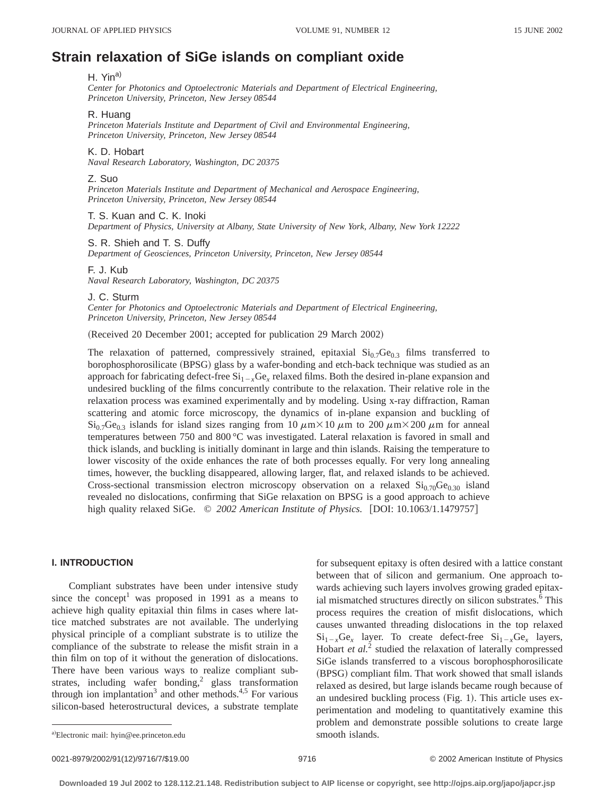# **Strain relaxation of SiGe islands on compliant oxide**

#### H. Yin<sup>a)</sup>

*Center for Photonics and Optoelectronic Materials and Department of Electrical Engineering, Princeton University, Princeton, New Jersey 08544*

#### R. Huang

*Princeton Materials Institute and Department of Civil and Environmental Engineering, Princeton University, Princeton, New Jersey 08544*

#### K. D. Hobart

*Naval Research Laboratory, Washington, DC 20375*

## Z. Suo

*Princeton Materials Institute and Department of Mechanical and Aerospace Engineering, Princeton University, Princeton, New Jersey 08544*

T. S. Kuan and C. K. Inoki *Department of Physics, University at Albany, State University of New York, Albany, New York 12222*

## S. R. Shieh and T. S. Duffy

*Department of Geosciences, Princeton University, Princeton, New Jersey 08544*

F. J. Kub

*Naval Research Laboratory, Washington, DC 20375*

J. C. Sturm

*Center for Photonics and Optoelectronic Materials and Department of Electrical Engineering, Princeton University, Princeton, New Jersey 08544*

(Received 20 December 2001; accepted for publication 29 March 2002)

The relaxation of patterned, compressively strained, epitaxial  $Si<sub>0.7</sub>Ge<sub>0.3</sub>$  films transferred to borophosphorosilicate (BPSG) glass by a wafer-bonding and etch-back technique was studied as an approach for fabricating defect-free  $Si_{1-x}Ge_x$  relaxed films. Both the desired in-plane expansion and undesired buckling of the films concurrently contribute to the relaxation. Their relative role in the relaxation process was examined experimentally and by modeling. Using x-ray diffraction, Raman scattering and atomic force microscopy, the dynamics of in-plane expansion and buckling of  $Si<sub>0.7</sub>Ge<sub>0.3</sub>$  islands for island sizes ranging from 10  $\mu$ m×10  $\mu$ m to 200  $\mu$ m×200  $\mu$ m for anneal temperatures between 750 and 800 °C was investigated. Lateral relaxation is favored in small and thick islands, and buckling is initially dominant in large and thin islands. Raising the temperature to lower viscosity of the oxide enhances the rate of both processes equally. For very long annealing times, however, the buckling disappeared, allowing larger, flat, and relaxed islands to be achieved. Cross-sectional transmission electron microscopy observation on a relaxed  $\text{Si}_{0.70}\text{Ge}_{0.30}$  island revealed no dislocations, confirming that SiGe relaxation on BPSG is a good approach to achieve high quality relaxed SiGe.  $\degree$  2002 American Institute of Physics. [DOI: 10.1063/1.1479757]

## **I. INTRODUCTION**

Compliant substrates have been under intensive study since the concept<sup>1</sup> was proposed in 1991 as a means to achieve high quality epitaxial thin films in cases where lattice matched substrates are not available. The underlying physical principle of a compliant substrate is to utilize the compliance of the substrate to release the misfit strain in a thin film on top of it without the generation of dislocations. There have been various ways to realize compliant substrates, including wafer bonding,<sup>2</sup> glass transformation through ion implantation<sup>3</sup> and other methods.<sup>4,5</sup> For various silicon-based heterostructural devices, a substrate template for subsequent epitaxy is often desired with a lattice constant between that of silicon and germanium. One approach towards achieving such layers involves growing graded epitaxial mismatched structures directly on silicon substrates.<sup>6</sup> This process requires the creation of misfit dislocations, which causes unwanted threading dislocations in the top relaxed  $Si_{1-x}Ge_x$  layer. To create defect-free  $Si_{1-x}Ge_x$  layers, Hobart *et al.*<sup>2</sup> studied the relaxation of laterally compressed SiGe islands transferred to a viscous borophosphorosilicate (BPSG) compliant film. That work showed that small islands relaxed as desired, but large islands became rough because of an undesired buckling process  $(Fig. 1)$ . This article uses experimentation and modeling to quantitatively examine this problem and demonstrate possible solutions to create large

0021-8979/2002/91(12)/9716/7/\$19.00 9716 9716 9716 9716 92002 American Institute of Physics

a)Electronic mail: hyin@ee.princeton.edu smooth islands.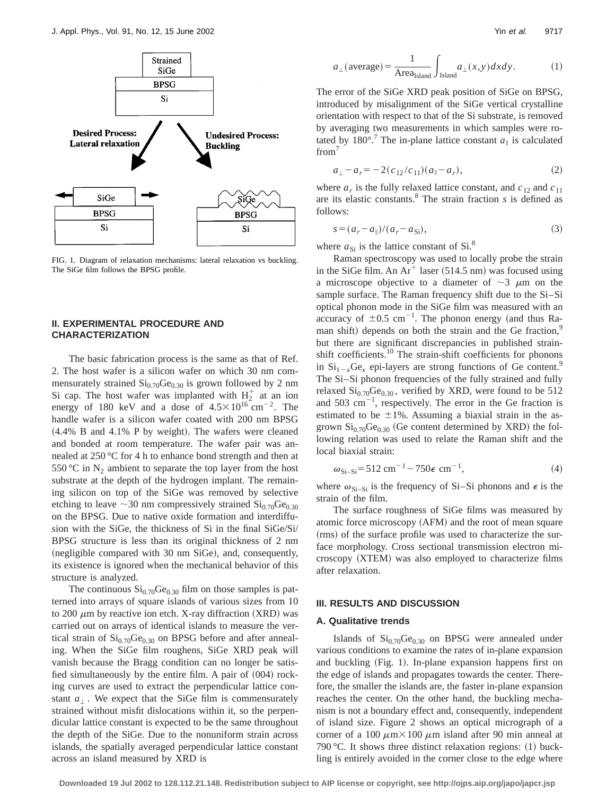

FIG. 1. Diagram of relaxation mechanisms: lateral relaxation vs buckling. The SiGe film follows the BPSG profile.

# **II. EXPERIMENTAL PROCEDURE AND CHARACTERIZATION**

The basic fabrication process is the same as that of Ref. 2. The host wafer is a silicon wafer on which 30 nm commensurately strained  $Si<sub>0.70</sub>Ge<sub>0.30</sub>$  is grown followed by 2 nm Si cap. The host wafer was implanted with  $H_2^+$  at an ion energy of 180 keV and a dose of  $4.5 \times 10^{16}$  cm<sup>-2</sup>. The handle wafer is a silicon wafer coated with 200 nm BPSG  $(4.4\%$  B and  $4.1\%$  P by weight). The wafers were cleaned and bonded at room temperature. The wafer pair was annealed at 250 °C for 4 h to enhance bond strength and then at 550 °C in  $N_2$  ambient to separate the top layer from the host substrate at the depth of the hydrogen implant. The remaining silicon on top of the SiGe was removed by selective etching to leave  $\sim$ 30 nm compressively strained Si<sub>0.70</sub>Ge<sub>0.30</sub> on the BPSG. Due to native oxide formation and interdiffusion with the SiGe, the thickness of Si in the final SiGe/Si/ BPSG structure is less than its original thickness of 2 nm (negligible compared with 30 nm SiGe), and, consequently, its existence is ignored when the mechanical behavior of this structure is analyzed.

The continuous  $Si_{0.70}Ge_{0.30}$  film on those samples is patterned into arrays of square islands of various sizes from 10 to 200  $\mu$ m by reactive ion etch. X-ray diffraction (XRD) was carried out on arrays of identical islands to measure the vertical strain of  $Si<sub>0.70</sub>Ge<sub>0.30</sub>$  on BPSG before and after annealing. When the SiGe film roughens, SiGe XRD peak will vanish because the Bragg condition can no longer be satisfied simultaneously by the entire film. A pair of  $(004)$  rocking curves are used to extract the perpendicular lattice constant  $a_{\perp}$ . We expect that the SiGe film is commensurately strained without misfit dislocations within it, so the perpendicular lattice constant is expected to be the same throughout the depth of the SiGe. Due to the nonuniform strain across islands, the spatially averaged perpendicular lattice constant across an island measured by XRD is

$$
a_{\perp}(\text{average}) = \frac{1}{\text{Area}_{\text{Island}}} \int_{\text{Island}} a_{\perp}(x, y) dx dy.
$$
 (1)

The error of the SiGe XRD peak position of SiGe on BPSG, introduced by misalignment of the SiGe vertical crystalline orientation with respect to that of the Si substrate, is removed by averaging two measurements in which samples were rotated by 180 $^{\circ}$ .<sup>7</sup> The in-plane lattice constant  $a_{\parallel}$  is calculated from<sup>7</sup>

$$
a_{\perp} - a_r = -2(c_{12}/c_{11})(a_{\parallel} - a_r), \tag{2}
$$

where  $a_r$  is the fully relaxed lattice constant, and  $c_{12}$  and  $c_{11}$ are its elastic constants.8 The strain fraction *s* is defined as follows:

$$
s = (a_r - a_\parallel)/(a_r - a_{\rm Si}),\tag{3}
$$

where  $a_{\rm Si}$  is the lattice constant of Si.<sup>8</sup>

Raman spectroscopy was used to locally probe the strain in the SiGe film. An  $Ar^+$  laser (514.5 nm) was focused using a microscope objective to a diameter of  $\sim$ 3  $\mu$ m on the sample surface. The Raman frequency shift due to the Si–Si optical phonon mode in the SiGe film was measured with an accuracy of  $\pm 0.5$  cm<sup>-1</sup>. The phonon energy (and thus Raman shift) depends on both the strain and the Ge fraction, $9$ but there are significant discrepancies in published strainshift coefficients.<sup>10</sup> The strain-shift coefficients for phonons in  $\mathrm{Si}_{1-x}\mathrm{Ge}_{x}$  epi-layers are strong functions of Ge content.<sup>9</sup> The Si–Si phonon frequencies of the fully strained and fully relaxed  $Si<sub>0.70</sub>Ge<sub>0.30</sub>$ , verified by XRD, were found to be 512 and  $503 \text{ cm}^{-1}$ , respectively. The error in the Ge fraction is estimated to be  $\pm 1\%$ . Assuming a biaxial strain in the asgrown  $Si<sub>0.70</sub>Ge<sub>0.30</sub>$  (Ge content determined by XRD) the following relation was used to relate the Raman shift and the local biaxial strain:

$$
\omega_{\text{Si-Si}} = 512 \text{ cm}^{-1} - 750 \epsilon \text{ cm}^{-1},\tag{4}
$$

where  $\omega_{\text{Si-Si}}$  is the frequency of Si–Si phonons and  $\epsilon$  is the strain of the film.

The surface roughness of SiGe films was measured by atomic force microscopy (AFM) and the root of mean square (rms) of the surface profile was used to characterize the surface morphology. Cross sectional transmission electron microscopy (XTEM) was also employed to characterize films after relaxation.

# **III. RESULTS AND DISCUSSION**

## **A. Qualitative trends**

Islands of  $Si<sub>0.70</sub>Ge<sub>0.30</sub>$  on BPSG were annealed under various conditions to examine the rates of in-plane expansion and buckling (Fig. 1). In-plane expansion happens first on the edge of islands and propagates towards the center. Therefore, the smaller the islands are, the faster in-plane expansion reaches the center. On the other hand, the buckling mechanism is not a boundary effect and, consequently, independent of island size. Figure 2 shows an optical micrograph of a corner of a 100  $\mu$ m $\times$ 100  $\mu$ m island after 90 min anneal at 790 °C. It shows three distinct relaxation regions:  $(1)$  buckling is entirely avoided in the corner close to the edge where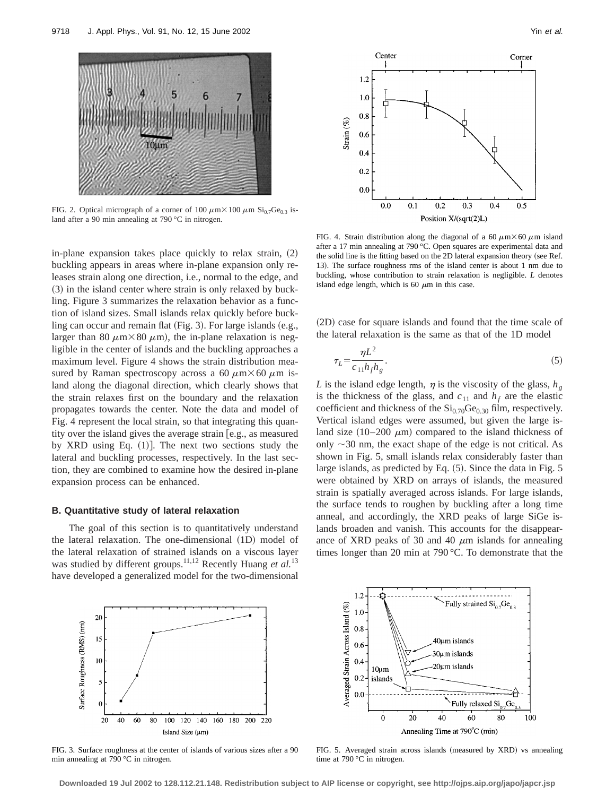

FIG. 2. Optical micrograph of a corner of 100  $\mu$ m $\times$ 100  $\mu$ m Si<sub>0.7</sub>Ge<sub>0.3</sub> island after a 90 min annealing at 790 °C in nitrogen.

in-plane expansion takes place quickly to relax strain,  $(2)$ buckling appears in areas where in-plane expansion only releases strain along one direction, i.e., normal to the edge, and  $(3)$  in the island center where strain is only relaxed by buckling. Figure 3 summarizes the relaxation behavior as a function of island sizes. Small islands relax quickly before buckling can occur and remain flat  $(Fig. 3)$ . For large islands  $(e.g.,)$ larger than 80  $\mu$ m $\times$ 80  $\mu$ m), the in-plane relaxation is negligible in the center of islands and the buckling approaches a maximum level. Figure 4 shows the strain distribution measured by Raman spectroscopy across a 60  $\mu$ m $\times$  60  $\mu$ m island along the diagonal direction, which clearly shows that the strain relaxes first on the boundary and the relaxation propagates towards the center. Note the data and model of Fig. 4 represent the local strain, so that integrating this quantity over the island gives the average strain [e.g., as measured by XRD using Eq.  $(1)$ . The next two sections study the lateral and buckling processes, respectively. In the last section, they are combined to examine how the desired in-plane expansion process can be enhanced.

## **B. Quantitative study of lateral relaxation**

The goal of this section is to quantitatively understand the lateral relaxation. The one-dimensional  $(1D)$  model of the lateral relaxation of strained islands on a viscous layer was studied by different groups.<sup>11,12</sup> Recently Huang et al.<sup>13</sup> have developed a generalized model for the two-dimensional



FIG. 4. Strain distribution along the diagonal of a 60  $\mu$ m $\times$ 60  $\mu$ m island after a 17 min annealing at 790 °C. Open squares are experimental data and the solid line is the fitting based on the 2D lateral expansion theory (see Ref. 13). The surface roughness rms of the island center is about 1 nm due to buckling, whose contribution to strain relaxation is negligible. *L* denotes island edge length, which is 60  $\mu$ m in this case.

(2D) case for square islands and found that the time scale of the lateral relaxation is the same as that of the 1D model

$$
\tau_L = \frac{\eta L^2}{c_{11} h_f h_g}.\tag{5}
$$

*L* is the island edge length,  $\eta$  is the viscosity of the glass,  $h_{\varrho}$ is the thickness of the glass, and  $c_{11}$  and  $h_f$  are the elastic coefficient and thickness of the  $Si<sub>0.70</sub>Ge<sub>0.30</sub>$  film, respectively. Vertical island edges were assumed, but given the large island size  $(10-200 \mu m)$  compared to the island thickness of only  $\sim$ 30 nm, the exact shape of the edge is not critical. As shown in Fig. 5, small islands relax considerably faster than large islands, as predicted by Eq.  $(5)$ . Since the data in Fig. 5 were obtained by XRD on arrays of islands, the measured strain is spatially averaged across islands. For large islands, the surface tends to roughen by buckling after a long time anneal, and accordingly, the XRD peaks of large SiGe islands broaden and vanish. This accounts for the disappearance of XRD peaks of 30 and 40  $\mu$ m islands for annealing times longer than 20 min at 790 °C. To demonstrate that the



FIG. 3. Surface roughness at the center of islands of various sizes after a 90 min annealing at 790 °C in nitrogen.



FIG. 5. Averaged strain across islands (measured by XRD) vs annealing time at 790 °C in nitrogen.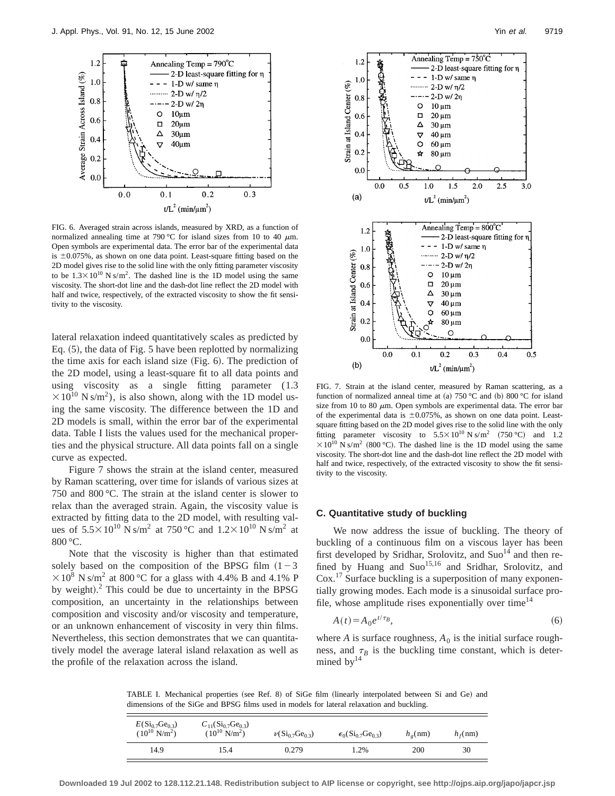

FIG. 6. Averaged strain across islands, measured by XRD, as a function of normalized annealing time at 790 °C for island sizes from 10 to 40  $\mu$ m. Open symbols are experimental data. The error bar of the experimental data is  $\pm 0.075\%$ , as shown on one data point. Least-square fitting based on the 2D model gives rise to the solid line with the only fitting parameter viscosity to be  $1.3 \times 10^{10}$  N s/m<sup>2</sup>. The dashed line is the 1D model using the same viscosity. The short-dot line and the dash-dot line reflect the 2D model with half and twice, respectively, of the extracted viscosity to show the fit sensitivity to the viscosity.

lateral relaxation indeed quantitatively scales as predicted by Eq.  $(5)$ , the data of Fig. 5 have been replotted by normalizing the time axis for each island size  $(Fig. 6)$ . The prediction of the 2D model, using a least-square fit to all data points and using viscosity as a single fitting parameter (1.3  $\times 10^{10}$  N s/m<sup>2</sup>), is also shown, along with the 1D model using the same viscosity. The difference between the 1D and 2D models is small, within the error bar of the experimental data. Table I lists the values used for the mechanical properties and the physical structure. All data points fall on a single curve as expected.

Figure 7 shows the strain at the island center, measured by Raman scattering, over time for islands of various sizes at 750 and 800 °C. The strain at the island center is slower to relax than the averaged strain. Again, the viscosity value is extracted by fitting data to the 2D model, with resulting values of  $5.5 \times 10^{10}$  N s/m<sup>2</sup> at 750 °C and  $1.2 \times 10^{10}$  N s/m<sup>2</sup> at 800 °C.

Note that the viscosity is higher than that estimated solely based on the composition of the BPSG film  $(1-3)$  $\times$  10<sup>8</sup> N s/m<sup>2</sup> at 800 °C for a glass with 4.4% B and 4.1% P by weight). $^2$  This could be due to uncertainty in the BPSG composition, an uncertainty in the relationships between composition and viscosity and/or viscosity and temperature, or an unknown enhancement of viscosity in very thin films. Nevertheless, this section demonstrates that we can quantitatively model the average lateral island relaxation as well as the profile of the relaxation across the island.



FIG. 7. Strain at the island center, measured by Raman scattering, as a function of normalized anneal time at (a) 750 °C and (b) 800 °C for island size from 10 to 80  $\mu$ m. Open symbols are experimental data. The error bar of the experimental data is  $\pm 0.075$ %, as shown on one data point. Leastsquare fitting based on the 2D model gives rise to the solid line with the only fitting parameter viscosity to  $5.5 \times 10^{10}$  N s/m<sup>2</sup> (750 °C) and 1.2  $\times 10^{10}$  N s/m<sup>2</sup> (800 °C). The dashed line is the 1D model using the same viscosity. The short-dot line and the dash-dot line reflect the 2D model with half and twice, respectively, of the extracted viscosity to show the fit sensitivity to the viscosity.

# **C. Quantitative study of buckling**

We now address the issue of buckling. The theory of buckling of a continuous film on a viscous layer has been first developed by Sridhar, Srolovitz, and  $Suo<sup>14</sup>$  and then refined by Huang and  $Suo^{15,16}$  and Sridhar, Srolovitz, and Cox.17 Surface buckling is a superposition of many exponentially growing modes. Each mode is a sinusoidal surface profile, whose amplitude rises exponentially over time<sup>14</sup>

$$
A(t) = A_0 e^{t/\tau_B},\tag{6}
$$

where *A* is surface roughness,  $A_0$  is the initial surface roughness, and  $\tau_B$  is the buckling time constant, which is determined by $14$ 

TABLE I. Mechanical properties (see Ref. 8) of SiGe film (linearly interpolated between Si and Ge) and dimensions of the SiGe and BPSG films used in models for lateral relaxation and buckling.

| $E(Si_{0.7}Ge_{0.3})$<br>$(10^{10} \text{ N/m}^2)$ | $C_{11}(Si_{0.7}Ge_{0.3})$<br>$(10^{10} \text{ N/m}^2)$ | $\nu(Si_{0.7}Ge_{0.3})$ | $\epsilon_0$ (Si <sub>0.7</sub> Ge <sub>0.3</sub> ) | $h_o$ (nm) | $h_f$ (nm) |
|----------------------------------------------------|---------------------------------------------------------|-------------------------|-----------------------------------------------------|------------|------------|
| 14.9                                               | 15.4                                                    | 0.279                   | .2%                                                 | 200        | 30         |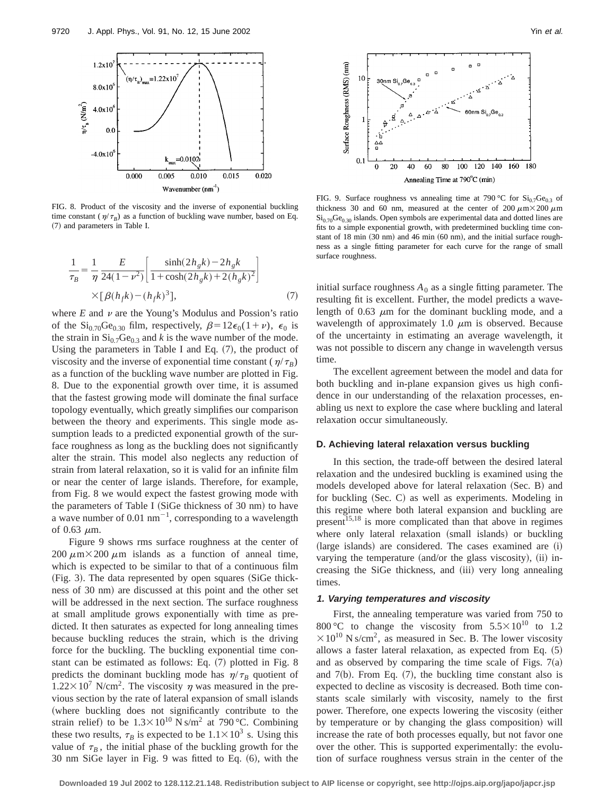

FIG. 8. Product of the viscosity and the inverse of exponential buckling time constant ( $\eta/\tau_B$ ) as a function of buckling wave number, based on Eq. (7) and parameters in Table I.

$$
\frac{1}{\tau_B} = \frac{1}{\eta} \frac{E}{24(1 - \nu^2)} \left[ \frac{\sinh(2h_g k) - 2h_g k}{1 + \cosh(2h_g k) + 2(h_g k)^2} \right]
$$
  
×[ $\beta(h_f k) - (h_f k)^3$ ], (7)

where  $E$  and  $\nu$  are the Young's Modulus and Possion's ratio of the Si<sub>0.70</sub>Ge<sub>0.30</sub> film, respectively,  $\beta=12\epsilon_0(1+\nu)$ ,  $\epsilon_0$  is the strain in  $Si<sub>0.7</sub>Ge<sub>0.3</sub>$  and *k* is the wave number of the mode. Using the parameters in Table I and Eq.  $(7)$ , the product of viscosity and the inverse of exponential time constant ( $\eta/\tau_B$ ) as a function of the buckling wave number are plotted in Fig. 8. Due to the exponential growth over time, it is assumed that the fastest growing mode will dominate the final surface topology eventually, which greatly simplifies our comparison between the theory and experiments. This single mode assumption leads to a predicted exponential growth of the surface roughness as long as the buckling does not significantly alter the strain. This model also neglects any reduction of strain from lateral relaxation, so it is valid for an infinite film or near the center of large islands. Therefore, for example, from Fig. 8 we would expect the fastest growing mode with the parameters of Table I (SiGe thickness of  $30 \text{ nm}$ ) to have a wave number of 0.01  $\text{nm}^{-1}$ , corresponding to a wavelength of  $0.63 \mu m$ .

Figure 9 shows rms surface roughness at the center of 200  $\mu$ m×200  $\mu$ m islands as a function of anneal time, which is expected to be similar to that of a continuous film  $(Fig. 3)$ . The data represented by open squares  $(SiGe$  thickness of 30 nm) are discussed at this point and the other set will be addressed in the next section. The surface roughness at small amplitude grows exponentially with time as predicted. It then saturates as expected for long annealing times because buckling reduces the strain, which is the driving force for the buckling. The buckling exponential time constant can be estimated as follows: Eq.  $(7)$  plotted in Fig. 8 predicts the dominant buckling mode has  $\eta/\tau_B$  quotient of  $1.22 \times 10^7$  N/cm<sup>2</sup>. The viscosity  $\eta$  was measured in the previous section by the rate of lateral expansion of small islands (where buckling does not significantly contribute to the strain relief) to be  $1.3 \times 10^{10}$  N s/m<sup>2</sup> at 790 °C. Combining these two results,  $\tau_B$  is expected to be  $1.1 \times 10^3$  s. Using this value of  $\tau_B$ , the initial phase of the buckling growth for the  $30 \text{ nm}$  SiGe layer in Fig. 9 was fitted to Eq.  $(6)$ , with the



FIG. 9. Surface roughness vs annealing time at 790 °C for  $Si_{0.7}Ge_{0.3}$  of thickness 30 and 60 nm, measured at the center of 200  $\mu$ m $\times$ 200  $\mu$ m  $Si<sub>0.70</sub>Ge<sub>0.30</sub>$  islands. Open symbols are experimental data and dotted lines are fits to a simple exponential growth, with predetermined buckling time constant of 18 min  $(30 \text{ nm})$  and 46 min  $(60 \text{ nm})$ , and the initial surface roughness as a single fitting parameter for each curve for the range of small surface roughness.

initial surface roughness  $A_0$  as a single fitting parameter. The resulting fit is excellent. Further, the model predicts a wavelength of  $0.63 \mu m$  for the dominant buckling mode, and a wavelength of approximately 1.0  $\mu$ m is observed. Because of the uncertainty in estimating an average wavelength, it was not possible to discern any change in wavelength versus time.

The excellent agreement between the model and data for both buckling and in-plane expansion gives us high confidence in our understanding of the relaxation processes, enabling us next to explore the case where buckling and lateral relaxation occur simultaneously.

#### **D. Achieving lateral relaxation versus buckling**

In this section, the trade-off between the desired lateral relaxation and the undesired buckling is examined using the models developed above for lateral relaxation (Sec. B) and for buckling  $(Sec. C)$  as well as experiments. Modeling in this regime where both lateral expansion and buckling are present $15,18$  is more complicated than that above in regimes where only lateral relaxation (small islands) or buckling (large islands) are considered. The cases examined are  $(i)$ varying the temperature (and/or the glass viscosity), (ii) increasing the SiGe thickness, and (iii) very long annealing times.

#### **1. Varying temperatures and viscosity**

First, the annealing temperature was varied from 750 to 800 °C to change the viscosity from  $5.5 \times 10^{10}$  to 1.2  $\times 10^{10}$  N s/cm<sup>2</sup>, as measured in Sec. B. The lower viscosity allows a faster lateral relaxation, as expected from Eq.  $(5)$ and as observed by comparing the time scale of Figs.  $7(a)$ and  $7(b)$ . From Eq.  $(7)$ , the buckling time constant also is expected to decline as viscosity is decreased. Both time constants scale similarly with viscosity, namely to the first power. Therefore, one expects lowering the viscosity (either by temperature or by changing the glass composition) will increase the rate of both processes equally, but not favor one over the other. This is supported experimentally: the evolution of surface roughness versus strain in the center of the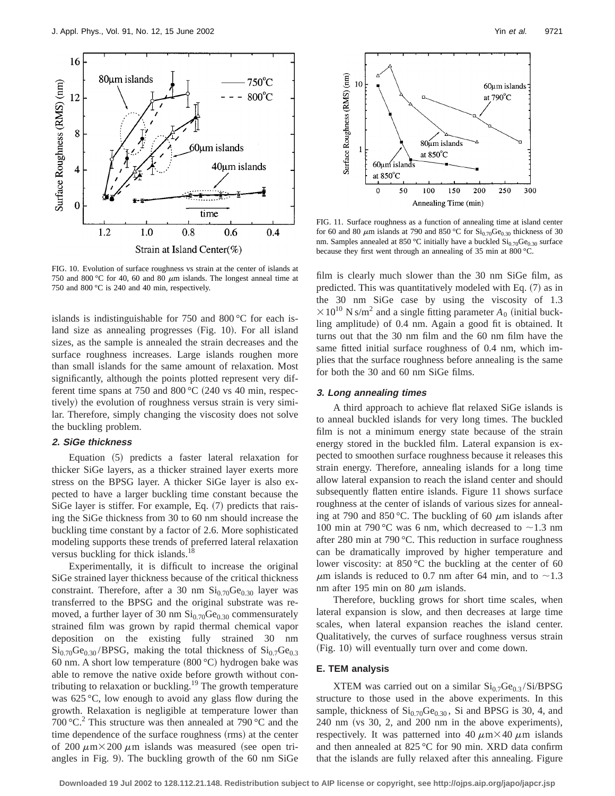

FIG. 10. Evolution of surface roughness vs strain at the center of islands at 750 and 800 °C for 40, 60 and 80  $\mu$ m islands. The longest anneal time at 750 and 800 °C is 240 and 40 min, respectively.

islands is indistinguishable for 750 and 800 °C for each island size as annealing progresses (Fig. 10). For all island sizes, as the sample is annealed the strain decreases and the surface roughness increases. Large islands roughen more than small islands for the same amount of relaxation. Most significantly, although the points plotted represent very different time spans at 750 and 800  $^{\circ}$ C (240 vs 40 min, respectively) the evolution of roughness versus strain is very similar. Therefore, simply changing the viscosity does not solve the buckling problem.

## **2. SiGe thickness**

Equation  $(5)$  predicts a faster lateral relaxation for thicker SiGe layers, as a thicker strained layer exerts more stress on the BPSG layer. A thicker SiGe layer is also expected to have a larger buckling time constant because the SiGe layer is stiffer. For example, Eq.  $(7)$  predicts that raising the SiGe thickness from 30 to 60 nm should increase the buckling time constant by a factor of 2.6. More sophisticated modeling supports these trends of preferred lateral relaxation versus buckling for thick islands.<sup>18</sup>

Experimentally, it is difficult to increase the original SiGe strained layer thickness because of the critical thickness constraint. Therefore, after a 30 nm  $Si<sub>0.70</sub>Ge<sub>0.30</sub>$  layer was transferred to the BPSG and the original substrate was removed, a further layer of 30 nm  $Si<sub>0.70</sub>Ge<sub>0.30</sub>$  commensurately strained film was grown by rapid thermal chemical vapor deposition on the existing fully strained 30 nm  $\text{Si}_{0.70}\text{Ge}_{0.30}/\text{BPSG}$ , making the total thickness of  $\text{Si}_{0.7}\text{Ge}_{0.30}$ 60 nm. A short low temperature  $(800 °C)$  hydrogen bake was able to remove the native oxide before growth without contributing to relaxation or buckling.<sup>19</sup> The growth temperature was 625 °C, low enough to avoid any glass flow during the growth. Relaxation is negligible at temperature lower than 700 °C.<sup>2</sup> This structure was then annealed at 790 °C and the time dependence of the surface roughness (rms) at the center of 200  $\mu$ m×200  $\mu$ m islands was measured (see open triangles in Fig. 9). The buckling growth of the 60 nm SiGe



FIG. 11. Surface roughness as a function of annealing time at island center for 60 and 80  $\mu$ m islands at 790 and 850 °C for Si<sub>0.70</sub>Ge<sub>0.30</sub> thickness of 30 nm. Samples annealed at 850 °C initially have a buckled  $Si<sub>0.70</sub>Ge<sub>0.30</sub>$  surface because they first went through an annealing of 35 min at 800 °C.

film is clearly much slower than the 30 nm SiGe film, as predicted. This was quantitatively modeled with Eq.  $(7)$  as in the 30 nm SiGe case by using the viscosity of 1.3  $\times$ 10<sup>10</sup> N s/m<sup>2</sup> and a single fitting parameter  $A_0$  (initial buckling amplitude) of 0.4 nm. Again a good fit is obtained. It turns out that the 30 nm film and the 60 nm film have the same fitted initial surface roughness of 0.4 nm, which implies that the surface roughness before annealing is the same for both the 30 and 60 nm SiGe films.

# **3. Long annealing times**

A third approach to achieve flat relaxed SiGe islands is to anneal buckled islands for very long times. The buckled film is not a minimum energy state because of the strain energy stored in the buckled film. Lateral expansion is expected to smoothen surface roughness because it releases this strain energy. Therefore, annealing islands for a long time allow lateral expansion to reach the island center and should subsequently flatten entire islands. Figure 11 shows surface roughness at the center of islands of various sizes for annealing at 790 and 850 °C. The buckling of 60  $\mu$ m islands after 100 min at 790 °C was 6 nm, which decreased to  $\sim$ 1.3 nm after 280 min at 790 °C. This reduction in surface roughness can be dramatically improved by higher temperature and lower viscosity: at 850 °C the buckling at the center of 60  $\mu$ m islands is reduced to 0.7 nm after 64 min, and to ~1.3 nm after 195 min on 80  $\mu$ m islands.

Therefore, buckling grows for short time scales, when lateral expansion is slow, and then decreases at large time scales, when lateral expansion reaches the island center. Qualitatively, the curves of surface roughness versus strain (Fig. 10) will eventually turn over and come down.

# **E. TEM analysis**

XTEM was carried out on a similar  $Si<sub>0.7</sub>Ge<sub>0.3</sub>/Si/BPSG$ structure to those used in the above experiments. In this sample, thickness of  $Si<sub>0.70</sub>Ge<sub>0.30</sub>$ , Si and BPSG is 30, 4, and  $240$  nm (vs  $30$ ,  $2$ , and  $200$  nm in the above experiments), respectively. It was patterned into 40  $\mu$ m $\times$ 40  $\mu$ m islands and then annealed at 825 °C for 90 min. XRD data confirm that the islands are fully relaxed after this annealing. Figure